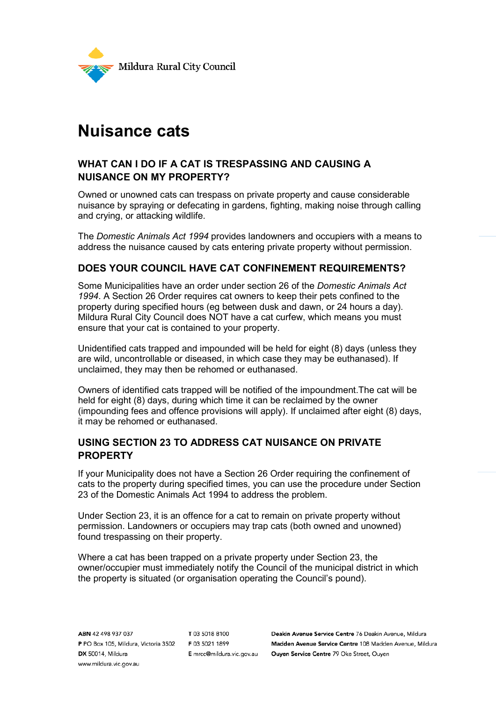

# **Nuisance cats**

## **WHAT CAN I DO IF A CAT IS TRESPASSING AND CAUSING A NUISANCE ON MY PROPERTY?**

Owned or unowned cats can trespass on private property and cause considerable nuisance by spraying or defecating in gardens, fighting, making noise through calling and crying, or attacking wildlife.

The *Domestic Animals Act 1994* provides landowners and occupiers with a means to address the nuisance caused by cats entering private property without permission.

### **DOES YOUR COUNCIL HAVE CAT CONFINEMENT REQUIREMENTS?**

Some Municipalities have an order under section 26 of the *Domestic Animals Act 1994*. A Section 26 Order requires cat owners to keep their pets confined to the property during specified hours (eg between dusk and dawn, or 24 hours a day). Mildura Rural City Council does NOT have a cat curfew, which means you must ensure that your cat is contained to your property.

Unidentified cats trapped and impounded will be held for eight (8) days (unless they are wild, uncontrollable or diseased, in which case they may be euthanased). If unclaimed, they may then be rehomed or euthanased.

Owners of identified cats trapped will be notified of the impoundment.The cat will be held for eight (8) days, during which time it can be reclaimed by the owner (impounding fees and offence provisions will apply). If unclaimed after eight (8) days, it may be rehomed or euthanased.

### **USING SECTION 23 TO ADDRESS CAT NUISANCE ON PRIVATE PROPERTY**

If your Municipality does not have a Section 26 Order requiring the confinement of cats to the property during specified times, you can use the procedure under Section 23 of the Domestic Animals Act 1994 to address the problem.

Under Section 23, it is an offence for a cat to remain on private property without permission. Landowners or occupiers may trap cats (both owned and unowned) found trespassing on their property.

Where a cat has been trapped on a private property under Section 23, the owner/occupier must immediately notify the Council of the municipal district in which the property is situated (or organisation operating the Council's pound).